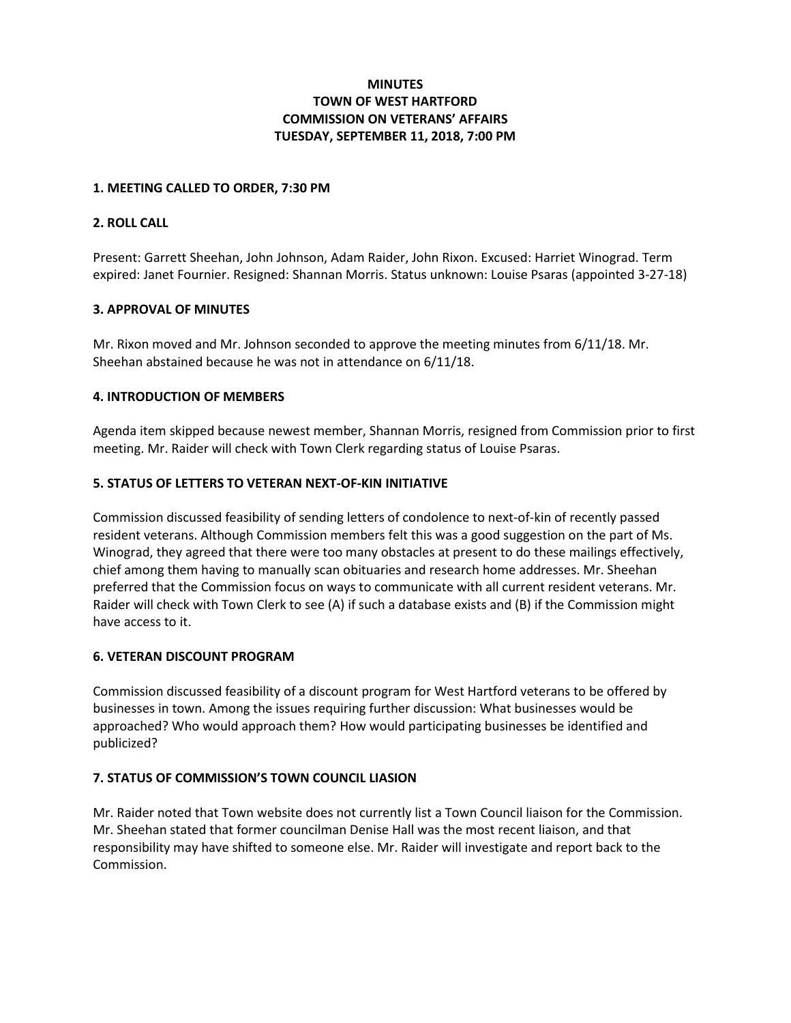# **MINUTES TOWN OF WEST HARTFORD COMMISSION ON VETERANS' AFFAIRS TUESDAY, SEPTEMBER 11, 2018, 7:00 PM**

### **1. MEETING CALLED TO ORDER, 7:30 PM**

# **2. ROLL CALL**

Present: Garrett Sheehan, John Johnson, Adam Raider, John Rixon. Excused: Harriet Winograd. Term expired: Janet Fournier. Resigned: Shannan Morris. Status unknown: Louise Psaras (appointed 3-27-18)

### **3. APPROVAL OF MINUTES**

Mr. Rixon moved and Mr. Johnson seconded to approve the meeting minutes from 6/11/18. Mr. Sheehan abstained because he was not in attendance on 6/11/18.

### **4. INTRODUCTION OF MEMBERS**

Agenda item skipped because newest member, Shannan Morris, resigned from Commission prior to first meeting. Mr. Raider will check with Town Clerk regarding status of Louise Psaras.

### **5. STATUS OF LETTERS TO VETERAN NEXT-OF-KIN INITIATIVE**

Commission discussed feasibility of sending letters of condolence to next-of-kin of recently passed resident veterans. Although Commission members felt this was a good suggestion on the part of Ms. Winograd, they agreed that there were too many obstacles at present to do these mailings effectively, chief among them having to manually scan obituaries and research home addresses. Mr. Sheehan preferred that the Commission focus on ways to communicate with all current resident veterans. Mr. Raider will check with Town Clerk to see (A) if such a database exists and (B) if the Commission might have access to it.

#### **6. VETERAN DISCOUNT PROGRAM**

Commission discussed feasibility of a discount program for West Hartford veterans to be offered by businesses in town. Among the issues requiring further discussion: What businesses would be approached? Who would approach them? How would participating businesses be identified and publicized?

# **7. STATUS OF COMMISSION'S TOWN COUNCIL LIASION**

Mr. Raider noted that Town website does not currently list a Town Council liaison for the Commission. Mr. Sheehan stated that former councilman Denise Hall was the most recent liaison, and that responsibility may have shifted to someone else. Mr. Raider will investigate and report back to the Commission.